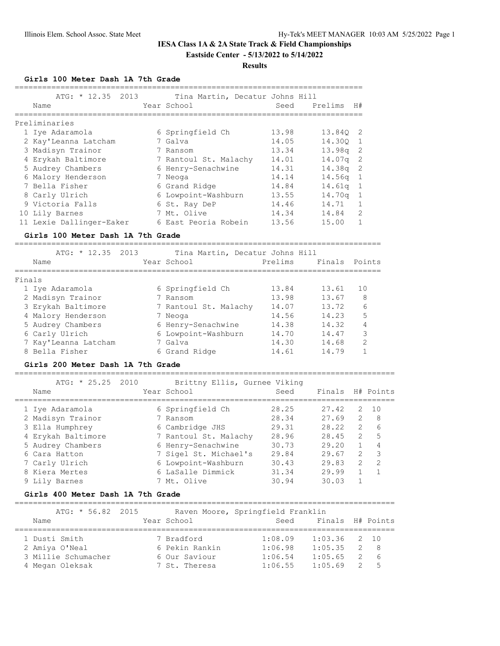**Eastside Center - 5/13/2022 to 5/14/2022**

# **Results**

**Girls 100 Meter Dash 1A 7th Grade**

| ATG: $* 12.35 2013$<br>Name | Tina Martin, Decatur Johns Hill<br>Year School | Seed  | Prelims    | H#             |
|-----------------------------|------------------------------------------------|-------|------------|----------------|
| Preliminaries               |                                                |       |            |                |
| 1 Iye Adaramola             | 6 Springfield Ch                               | 13.98 | 13.840 2   |                |
| 2 Kay'Leanna Latcham        | 7 Galva                                        | 14.05 | 14.300     | $\overline{1}$ |
| 3 Madisyn Trainor           | 7 Ransom                                       | 13.34 | $13.98q$ 2 |                |
| 4 Erykah Baltimore          | 7 Rantoul St. Malachy                          | 14.01 | 14.07q     | -2             |
| 5 Audrey Chambers           | 6 Henry-Senachwine                             | 14.31 | $14.38q$ 2 |                |
| 6 Malory Henderson          | 7 Neoga                                        | 14.14 | $14.56q$ 1 |                |
| 7 Bella Fisher              | 6 Grand Ridge                                  | 14.84 | 14.61a     | $\overline{1}$ |
| 8 Carly Ulrich              | 6 Lowpoint-Washburn                            | 13.55 | 14.70g     | $\overline{1}$ |
| 9 Victoria Falls            | 6 St. Ray DeP                                  | 14.46 | 14.71      | 1              |
| 10 Lily Barnes              | 7 Mt. Olive                                    | 14.34 | 14.84      | $\mathcal{D}$  |
| 11 Lexie Dallinger-Eaker    | 6 East Peoria Robein                           | 13.56 | 15.00      |                |

#### **Girls 100 Meter Dash 1A 7th Grade**

================================================================================

|        | ATG: $* 12.35 2013$  | Tina Martin, Decatur Johns Hill |         |               |               |
|--------|----------------------|---------------------------------|---------|---------------|---------------|
|        | Name                 | Year School                     | Prelims | Finals Points |               |
|        |                      |                                 |         |               |               |
| Finals |                      |                                 |         |               |               |
|        | 1 Iye Adaramola      | 6 Springfield Ch                | 13.84   | 13.61         | 10            |
|        | 2 Madisyn Trainor    | 7 Ransom                        | 13.98   | 13.67         | 8             |
|        | 3 Erykah Baltimore   | 7 Rantoul St. Malachy           | 14.07   | 13.72         | 6             |
|        | 4 Malory Henderson   | 7 Neoga                         | 14.56   | 14.23         | 5             |
|        | 5 Audrey Chambers    | 6 Henry-Senachwine              | 14.38   | 14.32         | 4             |
|        | 6 Carly Ulrich       | 6 Lowpoint-Washburn             | 14.70   | 14.47         | 3             |
|        | 7 Kay'Leanna Latcham | 7 Galva                         | 14.30   | 14.68         | $\mathcal{D}$ |
|        | 8 Bella Fisher       | 6 Grand Ridge                   | 14.61   | 14.79         |               |

## **Girls 200 Meter Dash 1A 7th Grade**

===================================================================================

| $ATG: * 25.25 2010$ | Brittny Ellis, Gurnee Viking |       |        |                |                |
|---------------------|------------------------------|-------|--------|----------------|----------------|
| Name                | Year School                  | Seed  | Finals |                | H# Points      |
| 1 Iye Adaramola     | 6 Springfield Ch             | 28.25 | 27.42  | 2              | 10             |
| 2 Madisyn Trainor   | 7 Ransom                     | 28.34 | 27.69  | $\mathcal{P}$  | 8              |
| 3 Ella Humphrey     | 6 Cambridge JHS              | 29.31 | 28.22  | $\overline{2}$ | 6              |
| 4 Erykah Baltimore  | 7 Rantoul St. Malachy        | 28.96 | 28.45  | $\mathcal{L}$  | 5              |
| 5 Audrey Chambers   | 6 Henry-Senachwine           | 30.73 | 29.20  |                | 4              |
| 6 Cara Hatton       | 7 Sigel St. Michael's        | 29.84 | 29.67  | $\mathcal{L}$  | 3              |
| 7 Carly Ulrich      | 6 Lowpoint-Washburn          | 30.43 | 29.83  | $\mathcal{L}$  | $\overline{2}$ |
| 8 Kiera Mertes      | 6 LaSalle Dimmick            | 31.34 | 29.99  |                |                |
| 9 Lilv Barnes       | 7 Mt. Olive                  | 30.94 | 30.03  |                |                |

### **Girls 400 Meter Dash 1A 7th Grade**

===================================================================================

| ATG: * 56.82 2015   |                | Raven Moore, Springfield Franklin |                  |                |     |
|---------------------|----------------|-----------------------------------|------------------|----------------|-----|
| Name                | Year School    | Seed                              | Finals H# Points |                |     |
|                     |                |                                   |                  |                |     |
| 1 Dusti Smith       | 7 Bradford     | 1:08.09                           | $1:03.36$ 2 10   |                |     |
| 2 Amiya O'Neal      | 6 Pekin Rankin | 1:06.98                           | 1:05.35          | $\overline{2}$ | - 8 |
| 3 Millie Schumacher | 6 Our Saviour  | 1:06.54                           | 1:05.65          | 2              | - 6 |
| 4 Megan Oleksak     | 7 St. Theresa  | 1:06.55                           | 1:05.69          | $\mathcal{P}$  | - 5 |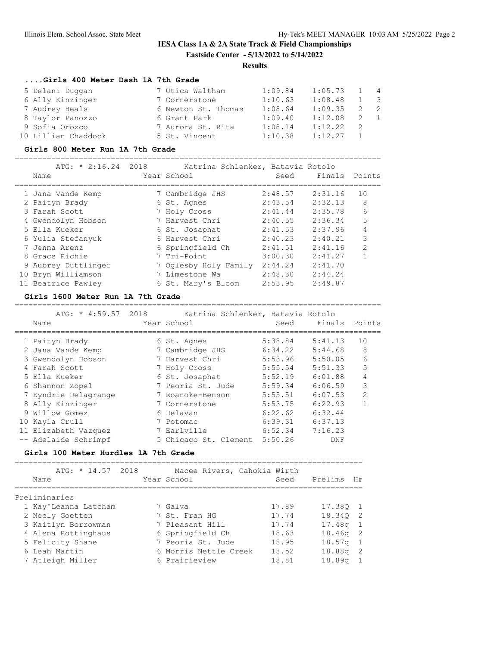# **IESA Class 1A & 2A State Track & Field Championships Eastside Center - 5/13/2022 to 5/14/2022**

# **Results**

# **....Girls 400 Meter Dash 1A 7th Grade**

| 5 Delani Duqqan     | 7 Utica Waltham     | 1:09.84 | 1:05.73 | $1 \quad 4$ |                          |
|---------------------|---------------------|---------|---------|-------------|--------------------------|
| 6 Ally Kinzinger    | 7 Cornerstone       | 1:10.63 | 1:08.48 |             | $\overline{\phantom{a}}$ |
| 7 Audrey Beals      | 6 Newton St. Thomas | 1:08.64 | 1:09.35 |             | $\overline{2}$           |
| 8 Taylor Panozzo    | 6 Grant Park        | 1:09.40 | 1:12.08 | 2 1         |                          |
| 9 Sofia Orozco      | 7 Aurora St. Rita   | 1:08.14 | 1:12.22 |             |                          |
| 10 Lillian Chaddock | 5 St. Vincent       | 1:10.38 | 1:12.27 |             |                          |

### **Girls 800 Meter Run 1A 7th Grade**

================================================================================

| ATG: * 2:16.24 2018<br>Name | Katrina Schlenker, Batavia Rotolo<br>Year School | Seed    | Finals Points |               |
|-----------------------------|--------------------------------------------------|---------|---------------|---------------|
| 1 Jana Vande Kemp           | 7 Cambridge JHS                                  | 2:48.57 | 2:31.16       | 10            |
| 2 Paityn Brady              | 6 St. Agnes                                      | 2:43.54 | 2:32.13       | 8             |
| 3 Farah Scott               | 7 Holy Cross                                     | 2:41.44 | 2:35.78       | 6             |
| 4 Gwendolyn Hobson          | 7 Harvest Chri                                   | 2:40.55 | 2:36.34       | 5             |
| 5 Ella Kueker               | 6 St. Josaphat                                   | 2:41.53 | 2:37.96       | 4             |
| 6 Yulia Stefanyuk           | 6 Harvest Chri                                   | 2:40.23 | 2:40.21       | 3             |
| 7 Jenna Arenz               | 6 Springfield Ch                                 | 2:41.51 | 2:41.16       | $\mathcal{P}$ |
| 8 Grace Richie              | 7 Tri-Point                                      | 3:00.30 | 2:41.27       | 1             |
| 9 Aubrey Duttlinger         | 7 Oglesby Holy Family                            | 2:44.24 | 2:41.70       |               |
| 10 Bryn Williamson          | 7 Limestone Wa                                   | 2:48.30 | 2:44.24       |               |
| 11 Beatrice Pawley          | 6 St. Mary's Bloom                               | 2:53.95 | 2:49.87       |               |

#### **Girls 1600 Meter Run 1A 7th Grade**

================================================================================

| Name                 |  | Seed                                                                                                                                                                                                                          | Finals  | Points                                                   |
|----------------------|--|-------------------------------------------------------------------------------------------------------------------------------------------------------------------------------------------------------------------------------|---------|----------------------------------------------------------|
|                      |  |                                                                                                                                                                                                                               |         |                                                          |
| 1 Paityn Brady       |  | 5:38.84                                                                                                                                                                                                                       | 5:41.13 | 10                                                       |
| 2 Jana Vande Kemp    |  | 6:34.22                                                                                                                                                                                                                       | 5:44.68 | 8                                                        |
| 3 Gwendolyn Hobson   |  | 5:53.96                                                                                                                                                                                                                       | 5:50.05 | 6                                                        |
| 4 Farah Scott        |  | 5:55.54                                                                                                                                                                                                                       | 5:51.33 | 5                                                        |
| 5 Ella Kueker        |  | 5:52.19                                                                                                                                                                                                                       | 6:01.88 | 4                                                        |
| 6 Shannon Zopel      |  | 5:59.34                                                                                                                                                                                                                       | 6:06.59 | 3                                                        |
| 7 Kyndrie Delagrange |  | 5:55.51                                                                                                                                                                                                                       | 6:07.53 | $\mathfrak{D}$                                           |
| 8 Ally Kinzinger     |  | 5:53.75                                                                                                                                                                                                                       | 6:22.93 |                                                          |
| 9 Willow Gomez       |  | 6:22.62                                                                                                                                                                                                                       | 6:32.44 |                                                          |
| 10 Kayla Crull       |  | 6:39.31                                                                                                                                                                                                                       | 6:37.13 |                                                          |
| 11 Elizabeth Vazquez |  | 6:52.34                                                                                                                                                                                                                       | 7:16.23 |                                                          |
| -- Adelaide Schrimpf |  | 5:50.26                                                                                                                                                                                                                       | DNF     |                                                          |
|                      |  | Year School<br>6 St. Agnes<br>7 Cambridge JHS<br>7 Harvest Chri<br>7 Holy Cross<br>6 St. Josaphat<br>7 Peoria St. Jude<br>7 Roanoke-Benson<br>7 Cornerstone<br>6 Delavan<br>7 Potomac<br>7 Earlville<br>5 Chicago St. Clement |         | ATG: * 4:59.57 2018<br>Katrina Schlenker, Batavia Rotolo |

### **Girls 100 Meter Hurdles 1A 7th Grade**

============================================================================

| ATG: * 14.57 2018<br>Name | Macee Rivers, Cahokia Wirth<br>Year School | Seed  | H#<br>Prelims |
|---------------------------|--------------------------------------------|-------|---------------|
| Preliminaries             |                                            |       |               |
| 1 Kay'Leanna Latcham      | 7 Galva                                    | 17.89 | 17.380 1      |
| 2 Neely Goetten           | 7 St. Fran HG                              | 17.74 | 18.340 2      |
| 3 Kaitlyn Borrowman       | 7 Pleasant Hill                            | 17.74 | $17.48q$ 1    |
| 4 Alena Rottinghaus       | 6 Springfield Ch                           | 18.63 | $18.46q$ 2    |
| 5 Felicity Shane          | 7 Peoria St. Jude                          | 18.95 | $18.57q$ 1    |
| 6 Leah Martin             | 6 Morris Nettle Creek                      | 18.52 | $18.88q$ 2    |
| 7 Atleigh Miller          | 6 Prairieview                              | 18.81 | $18.89q$ 1    |
|                           |                                            |       |               |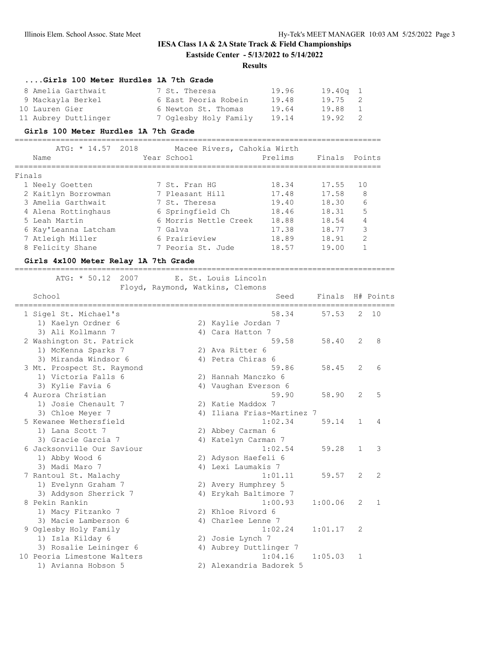# **IESA Class 1A & 2A State Track & Field Championships Eastside Center - 5/13/2022 to 5/14/2022**

#### **Results**

| Girls 100 Meter Hurdles 1A 7th Grade |                       |       |            |                |
|--------------------------------------|-----------------------|-------|------------|----------------|
| 8 Amelia Garthwait                   | 7 St. Theresa         | 19.96 | $19.40q$ 1 |                |
| 9 Mackayla Berkel                    | 6 East Peoria Robein  | 19.48 | 19.75 2    |                |
| 10 Lauren Gier                       | 6 Newton St. Thomas   | 19.64 | 19.88      | $\overline{1}$ |
| 11 Aubrey Duttlinger                 | 7 Oglesby Holy Family | 19.14 | 19.92      | $\overline{2}$ |

#### **Girls 100 Meter Hurdles 1A 7th Grade**

================================================================================ ATG: \* 14.57 2018 Macee Rivers, Cahokia Wirth Name Year School Prelims Finals Points ================================================================================ Finals 1 Neely Goetten 7 St. Fran HG 18.34 17.55 10 2 Kaitlyn Borrowman 7 Pleasant Hill 17.48 17.58 8 3 Amelia Garthwait 7 St. Theresa 19.40 18.30 6 4 Alena Rottinghaus 6 Springfield Ch 18.46 18.31 5 5 Leah Martin 6 Morris Nettle Creek 18.88 18.54 4 6 Kay'Leanna Latcham 7 Galva 17.38 18.77 3 7 Atleigh Miller 6 Prairieview 18.89 18.91 2 8 Felicity Shane 7 Peoria St. Jude 18.57 19.00 1

## **Girls 4x100 Meter Relay 1A 7th Grade**

===================================================================================

ATG: \* 50.12 2007 E. St. Louis Lincoln

Floyd, Raymond, Watkins, Clemons

| School                      |    | Seed                    | Finals  |                | H# Points      |
|-----------------------------|----|-------------------------|---------|----------------|----------------|
| 1 Sigel St. Michael's       |    | 58.34                   | 57.53   | $\overline{2}$ | 10             |
| 1) Kaelyn Ordner 6          |    | 2) Kaylie Jordan 7      |         |                |                |
| 3) Ali Kollmann 7           |    | 4) Cara Hatton 7        |         |                |                |
| 2 Washington St. Patrick    |    | 59.58                   | 58.40   | 2              | 8              |
| 1) McKenna Sparks 7         |    | 2) Ava Ritter 6         |         |                |                |
| 3) Miranda Windsor 6        |    | 4) Petra Chiras 6       |         |                |                |
| 3 Mt. Prospect St. Raymond  |    | 59.86                   | 58.45   | $\overline{2}$ | 6              |
| 1) Victoria Falls 6         |    | 2) Hannah Manczko 6     |         |                |                |
| 3) Kylie Favia 6            |    | 4) Vaughan Everson 6    |         |                |                |
| 4 Aurora Christian          |    | 59.90                   | 58.90   | 2              | 5              |
| 1) Josie Chenault 7         |    | 2) Katie Maddox 7       |         |                |                |
| 3) Chloe Meyer 7            | 4) | Iliana Frias-Martinez 7 |         |                |                |
| 5 Kewanee Wethersfield      |    | 1:02.34                 | 59.14   | $\mathbf{1}$   | 4              |
| 1) Lana Scott 7             |    | 2) Abbey Carman 6       |         |                |                |
| 3) Gracie Garcia 7          |    | 4) Katelyn Carman 7     |         |                |                |
| 6 Jacksonville Our Saviour  |    | 1:02.54                 | 59.28   | $\mathbf{1}$   | 3              |
| 1) Abby Wood 6              |    | 2) Adyson Haefeli 6     |         |                |                |
| 3) Madi Maro 7              |    | 4) Lexi Laumakis 7      |         |                |                |
| 7 Rantoul St. Malachy       |    | 1:01.11                 | 59.57   | $\overline{2}$ | $\mathfrak{D}$ |
| 1) Evelynn Graham 7         |    | 2) Avery Humphrey 5     |         |                |                |
| 3) Addyson Sherrick 7       |    | 4) Erykah Baltimore 7   |         |                |                |
| 8 Pekin Rankin              |    | 1:00.93                 | 1:00.06 | $\overline{2}$ | $\mathbf{1}$   |
| 1) Macy Fitzanko 7          |    | 2) Khloe Rivord 6       |         |                |                |
| 3) Macie Lamberson 6        |    | 4) Charlee Lenne 7      |         |                |                |
| 9 Oglesby Holy Family       |    | 1:02.24                 | 1:01.17 | 2              |                |
| 1) Isla Kilday 6            |    | 2) Josie Lynch 7        |         |                |                |
| 3) Rosalie Leininger 6      | 4) | Aubrey Duttlinger 7     |         |                |                |
| 10 Peoria Limestone Walters |    | 1:04.16                 | 1:05.03 | 1              |                |
| 1) Avianna Hobson 5         |    | 2) Alexandria Badorek 5 |         |                |                |
|                             |    |                         |         |                |                |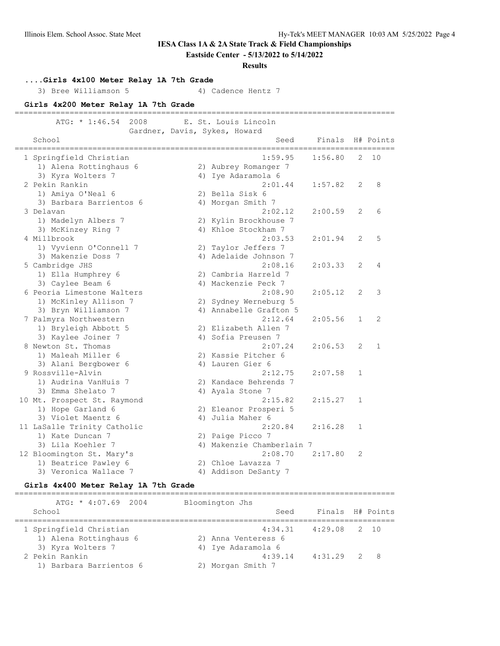**Eastside Center - 5/13/2022 to 5/14/2022**

#### **Results**

**....Girls 4x100 Meter Relay 1A 7th Grade**

3) Bree Williamson 5 4) Cadence Hentz 7

**Girls 4x200 Meter Relay 1A 7th Grade**

=================================================================================== ATG: \* 1:46.54 2008 E. St. Louis Lincoln Gardner, Davis, Sykes, Howard School Seed Finals H# Points =================================================================================== 1 Springfield Christian 1:59.95 1:56.80 2 10 1) Alena Rottinghaus 6 2) Aubrey Romanger 7 3) Kyra Wolters 7 (4) Iye Adaramola 6 2 Pekin Rankin 2:01.44 1:57.82 2 8 1) Amiya O'Neal 6 2) Bella Sisk 6 3) Barbara Barrientos 6  $\,$  4) Morgan Smith 7 3 Delavan 2:02.12 2:00.59 2 6 1) Madelyn Albers 7 2) Kylin Brockhouse 7 3) McKinzey Ring 7 (4) Khloe Stockham 7 4 Millbrook 2:03.53 2:01.94 2 5 1) Vyvienn O'Connell 7 2) Taylor Jeffers 7<br>3) Makenzie Doss 7 3 4) Adelaide Johnson 7 3) Makenzie Doss 7 4) Adelaide Johnson 7 5 Cambridge JHS 2:08.16 2:03.33 2 4 1) Ella Humphrey 6 2) Cambria Harreld 7 3) Caylee Beam 6 4) Mackenzie Peck 7 6 Peoria Limestone Walters 2:08.90 2:05.12 2 3 1) McKinley Allison 7 2) Sydney Werneburg 5 3) Bryn Williamson 7 4) Annabelle Grafton 5 7 Palmyra Northwestern 2:12.64 2:05.56 1 2 1) Bryleigh Abbott 5 2) Elizabeth Allen 7 3) Kaylee Joiner 7 (a) 4) Sofia Preusen 7 8 Newton St. Thomas 2:07.24 2:06.53 2 1 1) Maleah Miller 6 2) Kassie Pitcher 6 3) Alani Bergbower 6 (4) Lauren Gier 6 9 Rossville-Alvin 2:12.75 2:07.58 1 1) Audrina VanHuis 7 2) Kandace Behrends 7 3) Emma Shelato 7 (4) Ayala Stone 7 10 Mt. Prospect St. Raymond 2:15.82 2:15.27 1 1) Hope Garland 6 2) Eleanor Prosperi 5 3) Violet Maentz 6 (4) Julia Maher 6 11 LaSalle Trinity Catholic 2:20.84 2:16.28 1 1) Kate Duncan 7 2) Paige Picco 7 3) Lila Koehler 7 4) Makenzie Chamberlain 7 12 Bloomington St. Mary's 2:08.70 2:17.80 2 1) Beatrice Pawley 6 2) Chloe Lavazza 7 3) Veronica Wallace 7 (4) Addison DeSanty 7

#### **Girls 4x400 Meter Relay 1A 7th Grade**

=================================================================================== ATG: \* 4:07.69 2004 Bloomington Jhs School Seed Finals H# Points =================================================================================== 1 Springfield Christian 4:34.31 4:29.08 2 10 1) Alena Rottinghaus 6 2) Anna Venteress 6 3) Kyra Wolters 7 4) Iye Adaramola 6 2 Pekin Rankin 4:39.14 4:31.29 2 8 1.5.<br>1) Barbara Barrientos 6 2) Morgan Smith 7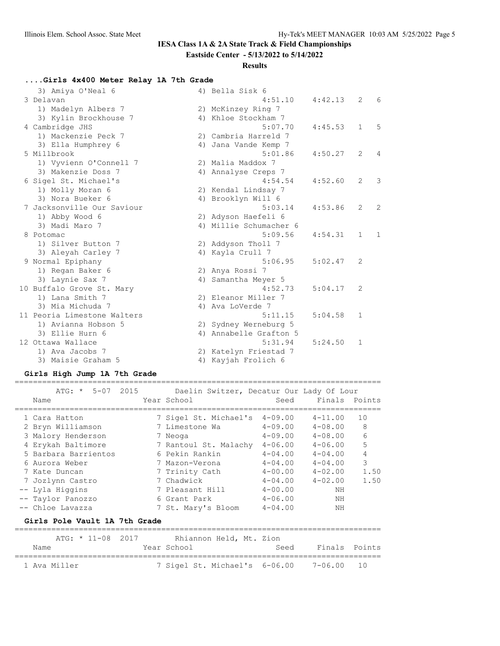# **Eastside Center - 5/13/2022 to 5/14/2022**

# **Results**

# **....Girls 4x400 Meter Relay 1A 7th Grade**

| 3) Amiya O'Neal 6           | 4) Bella Sisk 6        |         |              |                |
|-----------------------------|------------------------|---------|--------------|----------------|
| 3 Delavan                   | 4:51.10                | 4:42.13 | 2            | 6              |
| 1) Madelyn Albers 7         | 2) McKinzey Ring 7     |         |              |                |
| 3) Kylin Brockhouse 7       | 4) Khloe Stockham 7    |         |              |                |
| 4 Cambridge JHS             | 5:07.70                | 4:45.53 | $\mathbf{1}$ | 5              |
| 1) Mackenzie Peck 7         | 2) Cambria Harreld 7   |         |              |                |
| 3) Ella Humphrey 6          | 4) Jana Vande Kemp 7   |         |              |                |
| 5 Millbrook                 | 5:01.86                | 4:50.27 | 2            | $\overline{4}$ |
| 1) Vyvienn O'Connell 7      | 2) Malia Maddox 7      |         |              |                |
| 3) Makenzie Doss 7          | 4) Annalyse Creps 7    |         |              |                |
| 6 Sigel St. Michael's       | 4:54.54                | 4:52.60 | 2            | 3              |
| 1) Molly Moran 6            | 2) Kendal Lindsay 7    |         |              |                |
| 3) Nora Bueker 6            | 4) Brooklyn Will 6     |         |              |                |
| 7 Jacksonville Our Saviour  | 5:03.14                | 4:53.86 | 2            | 2              |
| 1) Abby Wood 6              | 2) Adyson Haefeli 6    |         |              |                |
| 3) Madi Maro 7              | 4) Millie Schumacher 6 |         |              |                |
| 8 Potomac                   | 5:09.56                | 4:54.31 | $\mathbf{1}$ | $\mathbf{1}$   |
| 1) Silver Button 7          | 2) Addyson Tholl 7     |         |              |                |
| 3) Aleyah Carley 7          | 4) Kayla Crull 7       |         |              |                |
| 9 Normal Epiphany           | 5:06.95                | 5:02.47 | 2            |                |
| 1) Regan Baker 6            | 2) Anya Rossi 7        |         |              |                |
| 3) Laynie Sax 7             | 4) Samantha Meyer 5    |         |              |                |
| 10 Buffalo Grove St. Mary   | 4:52.73                | 5:04.17 | 2            |                |
| 1) Lana Smith 7             | 2) Eleanor Miller 7    |         |              |                |
| 3) Mia Michuda 7            | 4) Ava LoVerde 7       |         |              |                |
| 11 Peoria Limestone Walters | 5:11.15                | 5:04.58 | $\mathbf{1}$ |                |
| 1) Avianna Hobson 5         | 2) Sydney Werneburg 5  |         |              |                |
| 3) Ellie Hurn 6             | 4) Annabelle Grafton 5 |         |              |                |
| 12 Ottawa Wallace           | 5:31.94                | 5:24.50 | $\mathbf 1$  |                |
| 1) Ava Jacobs 7             | 2) Katelyn Friestad 7  |         |              |                |
| 3) Maisie Graham 5          | 4) Kayjah Frolich 6    |         |              |                |
|                             |                        |         |              |                |

# **Girls High Jump 1A 7th Grade**

| Name                 |                               | ATG: * 5-07 2015 Daelin Switzer, Decatur Our Lady Of Lour<br>Year School |             | Seed Finals Points         |                |  |  |  |
|----------------------|-------------------------------|--------------------------------------------------------------------------|-------------|----------------------------|----------------|--|--|--|
| 1 Cara Hatton        |                               | 7 Sigel St. Michael's 4-09.00                                            | $4 - 09.00$ | $4 - 11.00$<br>$4 - 08.00$ | 10             |  |  |  |
| 2 Bryn Williamson    |                               | 7 Limestone Wa                                                           |             |                            | 8              |  |  |  |
| 3 Malory Henderson   |                               | 7 Neoga                                                                  | $4 - 09.00$ | $4 - 08.00$                | 6              |  |  |  |
| 4 Erykah Baltimore   |                               | 7 Rantoul St. Malachy                                                    | $4 - 06.00$ | $4 - 06.00$                | 5              |  |  |  |
| 5 Barbara Barrientos |                               | 6 Pekin Rankin                                                           | $4 - 04.00$ | $4 - 04.00$                | $\overline{4}$ |  |  |  |
| 6 Aurora Weber       |                               | 7 Mazon-Verona                                                           | $4 - 04.00$ | $4 - 04.00$                | 3              |  |  |  |
| 7 Kate Duncan        |                               | 7 Trinity Cath                                                           | $4 - 00.00$ | $4 - 02.00$                | 1.50           |  |  |  |
| 7 Jozlynn Castro     |                               | 7 Chadwick                                                               | $4 - 04.00$ | $4 - 02.00$                | 1.50           |  |  |  |
| -- Lyla Higgins      |                               | 7 Pleasant Hill                                                          | $4 - 00.00$ | NΗ                         |                |  |  |  |
| -- Taylor Panozzo    |                               | 6 Grant Park                                                             | $4 - 06.00$ | ΝH                         |                |  |  |  |
| -- Chloe Lavazza     |                               | 7 St. Mary's Bloom                                                       | $4 - 04.00$ | NΗ                         |                |  |  |  |
|                      | Girls Pole Vault 1A 7th Grade |                                                                          |             |                            |                |  |  |  |
| ATG: * 11-08 2017    |                               | Rhiannon Held, Mt. Zion                                                  |             |                            |                |  |  |  |

|              | . | $\pm$ $\pm$ $\sqrt{2}$ |  |             | INIIKHIIVII IICIU, IIC. AIUII |                               |               |  |
|--------------|---|------------------------|--|-------------|-------------------------------|-------------------------------|---------------|--|
| Name         |   |                        |  | Year School |                               | Seed                          | Finals Points |  |
| 1 Ava Miller |   |                        |  |             |                               | 7 Sigel St. Michael's 6-06.00 | 7-06.00 10    |  |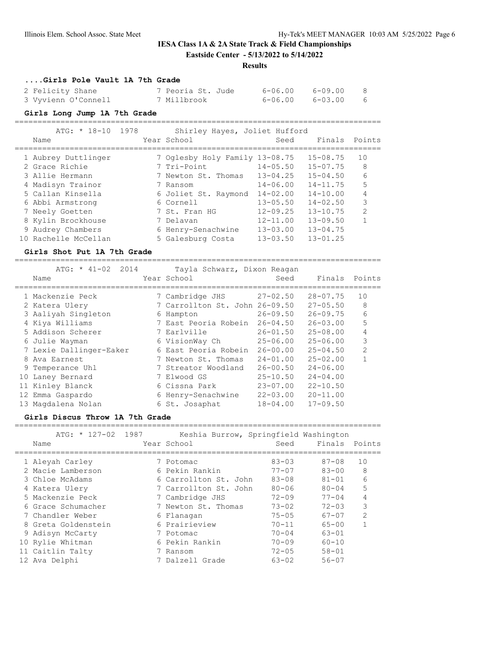**Eastside Center - 5/13/2022 to 5/14/2022**

# **Results**

# **....Girls Pole Vault 1A 7th Grade**

| 2 Felicity Shane    | 7 Peoria St. Jude | 6-06.00 6-09.00 | - 8 |
|---------------------|-------------------|-----------------|-----|
| 3 Vyvienn O'Connell | 7 Millbrook       | 6-06.00 6-03.00 | - 6 |

#### **Girls Long Jump 1A 7th Grade**

================================================================================

|     | $ATG: * 18-10 1978$ |  | Shirley Hayes, Joliet Hufford  |              |               |               |
|-----|---------------------|--|--------------------------------|--------------|---------------|---------------|
|     | Name                |  | Year School                    | Seed         | Finals Points |               |
|     | 1 Aubrey Duttlinger |  | 7 Oglesby Holy Family 13-08.75 |              | $15 - 08.75$  | 10            |
|     | 2 Grace Richie      |  | 7 Tri-Point                    | $14 - 05.50$ | $15 - 07.75$  | 8             |
|     | 3 Allie Hermann     |  | 7 Newton St. Thomas            | $13 - 04.25$ | $15 - 04.50$  | 6             |
|     | 4 Madisyn Trainor   |  | 7 Ransom                       | $14 - 06.00$ | $14 - 11.75$  | 5             |
|     | 5 Callan Kinsella   |  | 6 Joliet St. Raymond           | $14 - 02.00$ | $14 - 10.00$  |               |
|     | 6 Abbi Armstrong    |  | 6 Cornell                      | $13 - 05.50$ | $14 - 02.50$  | 3             |
|     | 7 Neely Goetten     |  | 7 St. Fran HG                  | $12 - 09.25$ | $13 - 10.75$  | $\mathcal{P}$ |
|     | 8 Kylin Brockhouse  |  | 7 Delavan                      | $12 - 11.00$ | $13 - 09.50$  |               |
|     | 9 Audrey Chambers   |  | 6 Henry-Senachwine             | $13 - 03.00$ | $13 - 04.75$  |               |
| 10. | - Rachelle McCellan |  | 5 Galesburg Costa              | $13 - 03.50$ | $13 - 01.25$  |               |

#### **Girls Shot Put 1A 7th Grade**

| $ATG: * 41-02$<br>2014  | Tayla Schwarz, Dixon Reagan    |              |              |                |
|-------------------------|--------------------------------|--------------|--------------|----------------|
| Name                    | Year School                    | Seed         | Finals       | Points         |
| 1 Mackenzie Peck        | 7 Cambridge JHS                | $27 - 02.50$ | $28 - 07.75$ | 10             |
| 2 Katera Ulery          | 7 Carrollton St. John 26-09.50 |              | $27 - 05.50$ | 8              |
| 3 Aaliyah Singleton     | 6 Hampton                      | $26 - 09.50$ | $26 - 09.75$ | 6              |
| 4 Kiya Williams         | 7 East Peoria Robein           | $26 - 04.50$ | $26 - 03.00$ | 5              |
| 5 Addison Scherer       | 7 Earlville                    | $26 - 01.50$ | $25 - 08.00$ | 4              |
| 6 Julie Wayman          | 6 VisionWay Ch                 | $25 - 06.00$ | $25 - 06.00$ | 3              |
| 7 Lexie Dallinger-Eaker | 6 East Peoria Robein           | $26 - 00.00$ | $25 - 04.50$ | $\overline{2}$ |
| 8 Ava Earnest           | 7 Newton St. Thomas            | $24 - 01.00$ | $25 - 02.00$ |                |
| 9 Temperance Uhl        | 7 Streator Woodland            | $26 - 00.50$ | $24 - 06.00$ |                |
| 10 Laney Bernard        | 7 Elwood GS                    | $25 - 10.50$ | $24 - 04.00$ |                |
| 11 Kinley Blanck        | 6 Cissna Park                  | $23 - 07.00$ | $22 - 10.50$ |                |
| 12 Emma Gaspardo        | 6 Henry-Senachwine             | $22 - 03.00$ | $20 - 11.00$ |                |
| 13 Magdalena Nolan      | 6 St. Josaphat                 | $18 - 04.00$ | $17 - 09.50$ |                |

================================================================================

### **Girls Discus Throw 1A 7th Grade**

| ATG: * 127-02 1987<br>Name | Keshia Burrow, Springfield Washington<br>Year School | Seed      | Finals    | Points         |
|----------------------------|------------------------------------------------------|-----------|-----------|----------------|
| 1 Aleyah Carley            | 7 Potomac                                            | $83 - 03$ | $87 - 08$ | 10             |
| 2 Macie Lamberson          | 6 Pekin Rankin                                       | $77 - 07$ | $83 - 00$ | 8              |
| 3 Chloe McAdams            | 6 Carrollton St. John                                | $83 - 08$ | $81 - 01$ | 6              |
| 4 Katera Ulery             | 7 Carrollton St. John                                | $80 - 06$ | $80 - 04$ | 5              |
| 5 Mackenzie Peck           | 7 Cambridge JHS                                      | $72 - 09$ | $77 - 04$ | 4              |
| 6 Grace Schumacher         | 7 Newton St. Thomas                                  | $73 - 02$ | $72 - 03$ | 3              |
| 7 Chandler Weber           | 6 Flanagan                                           | $75 - 05$ | $67 - 07$ | $\mathfrak{D}$ |
| 8 Greta Goldenstein        | 6 Prairieview                                        | $70 - 11$ | $65 - 00$ |                |
| 9 Adisyn McCarty           | 7 Potomac                                            | $70 - 04$ | $63 - 01$ |                |
| 10 Rylie Whitman           | 6 Pekin Rankin                                       | $70 - 09$ | $60 - 10$ |                |
| 11 Caitlin Talty           | 7 Ransom                                             | $72 - 05$ | $58 - 01$ |                |
| 12 Ava Delphi              | 7 Dalzell Grade                                      | $63 - 02$ | $56 - 07$ |                |